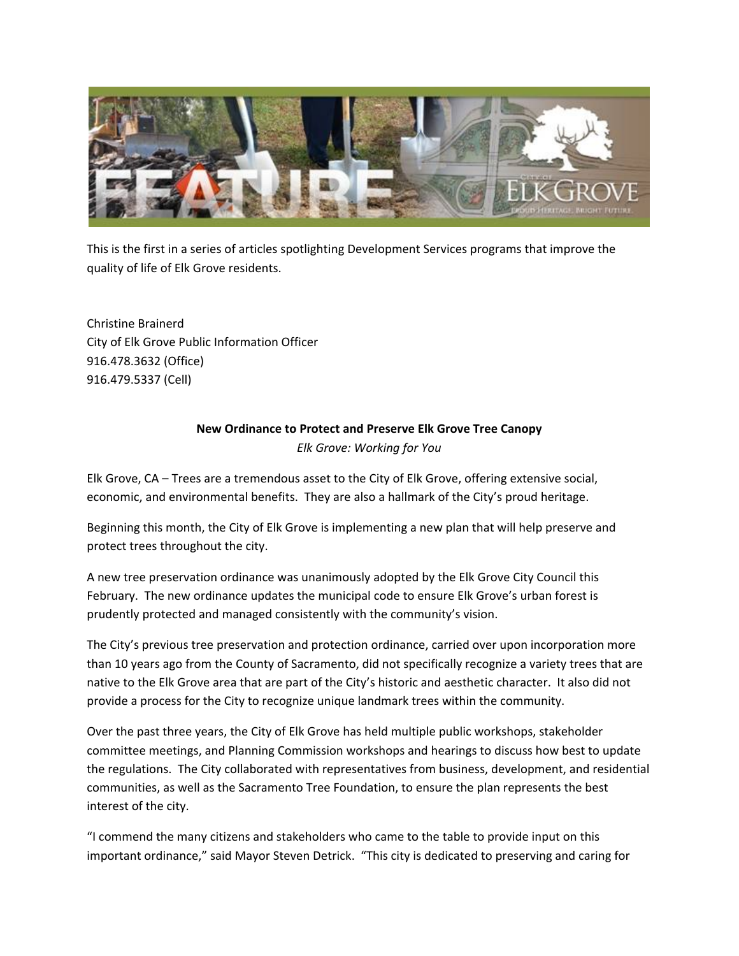

This is the first in a series of articles spotlighting Development Services programs that improve the quality of life of Elk Grove residents.

Christine Brainerd City of Elk Grove Public Information Officer 916.478.3632 (Office) 916.479.5337 (Cell)

## **New Ordinance to Protect and Preserve Elk Grove Tree Canopy**  *Elk Grove: Working for You*

Elk Grove, CA – Trees are a tremendous asset to the City of Elk Grove, offering extensive social, economic, and environmental benefits. They are also a hallmark of the City's proud heritage.

Beginning this month, the City of Elk Grove is implementing a new plan that will help preserve and protect trees throughout the city.

A new tree preservation ordinance was unanimously adopted by the Elk Grove City Council this February. The new ordinance updates the municipal code to ensure Elk Grove's urban forest is prudently protected and managed consistently with the community's vision.

The City's previous tree preservation and protection ordinance, carried over upon incorporation more than 10 years ago from the County of Sacramento, did not specifically recognize a variety trees that are native to the Elk Grove area that are part of the City's historic and aesthetic character. It also did not provide a process for the City to recognize unique landmark trees within the community.

Over the past three years, the City of Elk Grove has held multiple public workshops, stakeholder committee meetings, and Planning Commission workshops and hearings to discuss how best to update the regulations. The City collaborated with representatives from business, development, and residential communities, as well as the Sacramento Tree Foundation, to ensure the plan represents the best interest of the city.

"I commend the many citizens and stakeholders who came to the table to provide input on this important ordinance," said Mayor Steven Detrick. "This city is dedicated to preserving and caring for